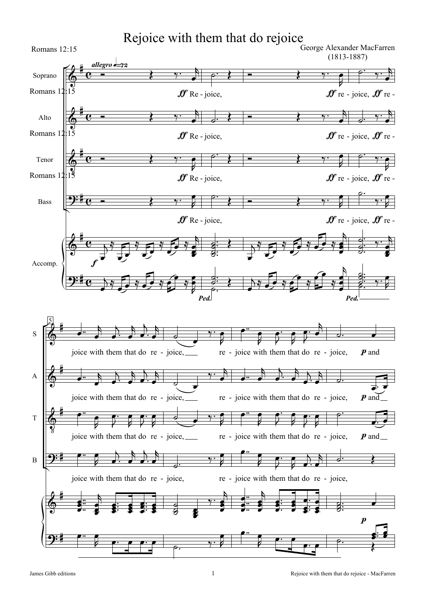## Rejoice with them that do rejoice

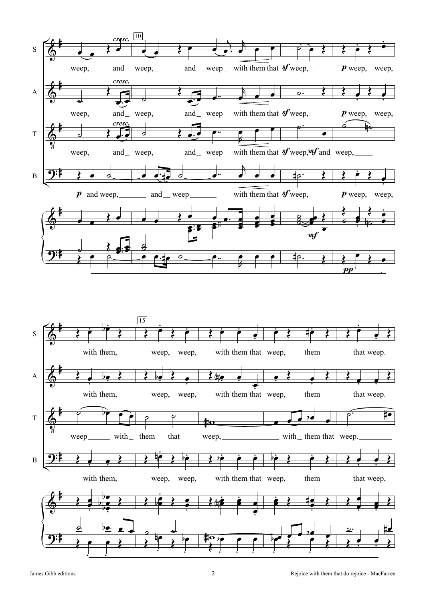